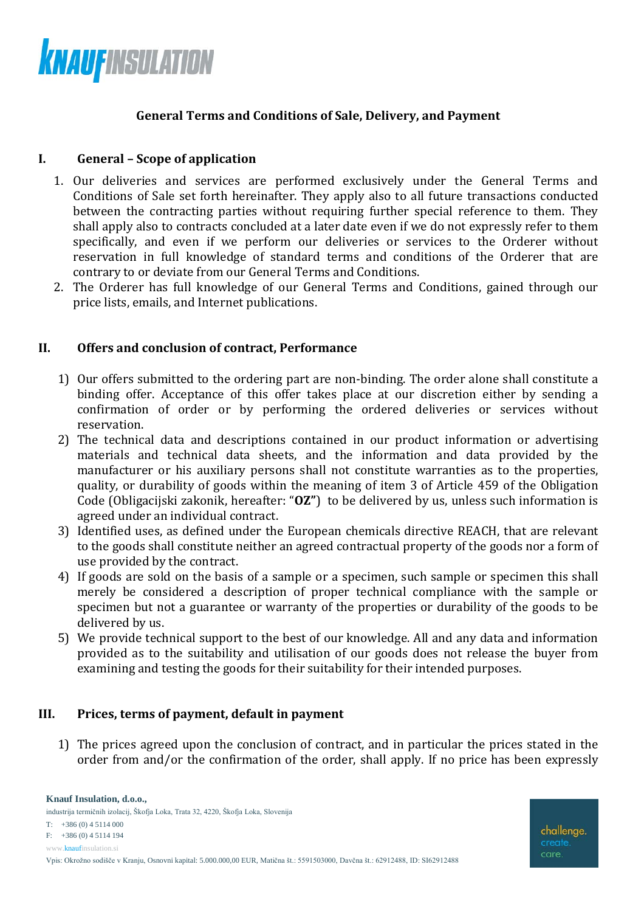

## **General Terms and Conditions of Sale, Delivery, and Payment**

### **I. General – Scope of application**

- 1. Our deliveries and services are performed exclusively under the General Terms and Conditions of Sale set forth hereinafter. They apply also to all future transactions conducted between the contracting parties without requiring further special reference to them. They shall apply also to contracts concluded at a later date even if we do not expressly refer to them specifically, and even if we perform our deliveries or services to the Orderer without reservation in full knowledge of standard terms and conditions of the Orderer that are contrary to or deviate from our General Terms and Conditions.
- 2. The Orderer has full knowledge of our General Terms and Conditions, gained through our price lists, emails, and Internet publications.

### **II. Offers and conclusion of contract, Performance**

- 1) Our offers submitted to the ordering part are non-binding. The order alone shall constitute a binding offer. Acceptance of this offer takes place at our discretion either by sending a confirmation of order or by performing the ordered deliveries or services without reservation.
- 2) The technical data and descriptions contained in our product information or advertising materials and technical data sheets, and the information and data provided by the manufacturer or his auxiliary persons shall not constitute warranties as to the properties, quality, or durability of goods within the meaning of item 3 of Article 459 of the Obligation Code (Obligacijski zakonik, hereafter: "**OZ"**) to be delivered by us, unless such information is agreed under an individual contract.
- 3) Identified uses, as defined under the European chemicals directive REACH, that are relevant to the goods shall constitute neither an agreed contractual property of the goods nor a form of use provided by the contract.
- 4) If goods are sold on the basis of a sample or a specimen, such sample or specimen this shall merely be considered a description of proper technical compliance with the sample or specimen but not a guarantee or warranty of the properties or durability of the goods to be delivered by us.
- 5) We provide technical support to the best of our knowledge. All and any data and information provided as to the suitability and utilisation of our goods does not release the buyer from examining and testing the goods for their suitability for their intended purposes.

#### **III. Prices, terms of payment, default in payment**

1) The prices agreed upon the conclusion of contract, and in particular the prices stated in the order from and/or the confirmation of the order, shall apply. If no price has been expressly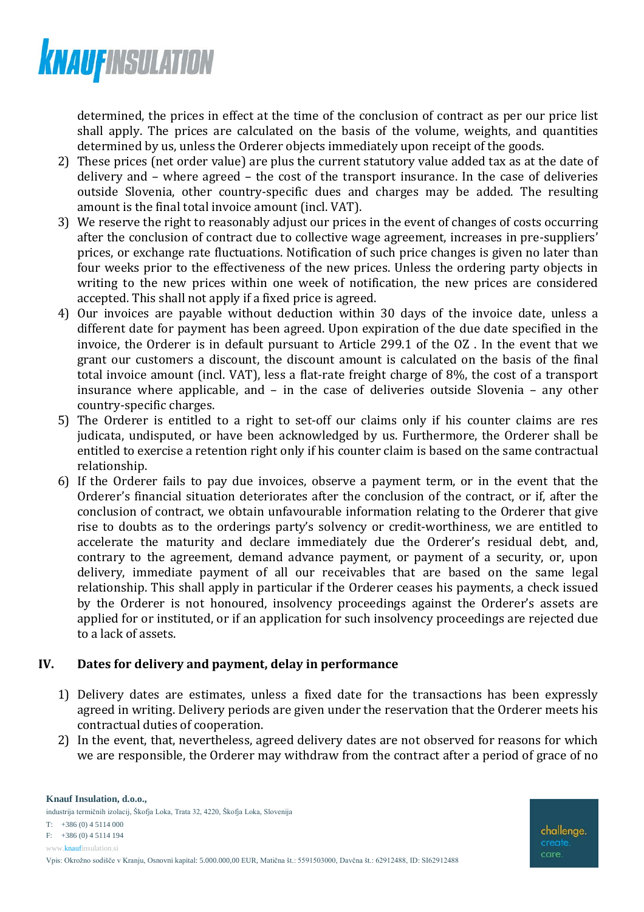

determined, the prices in effect at the time of the conclusion of contract as per our price list shall apply. The prices are calculated on the basis of the volume, weights, and quantities determined by us, unless the Orderer objects immediately upon receipt of the goods.

- 2) These prices (net order value) are plus the current statutory value added tax as at the date of delivery and – where agreed – the cost of the transport insurance. In the case of deliveries outside Slovenia, other country-specific dues and charges may be added. The resulting amount is the final total invoice amount (incl. VAT).
- 3) We reserve the right to reasonably adjust our prices in the event of changes of costs occurring after the conclusion of contract due to collective wage agreement, increases in pre-suppliers' prices, or exchange rate fluctuations. Notification of such price changes is given no later than four weeks prior to the effectiveness of the new prices. Unless the ordering party objects in writing to the new prices within one week of notification, the new prices are considered accepted. This shall not apply if a fixed price is agreed.
- 4) Our invoices are payable without deduction within 30 days of the invoice date, unless a different date for payment has been agreed. Upon expiration of the due date specified in the invoice, the Orderer is in default pursuant to Article 299.1 of the OZ . In the event that we grant our customers a discount, the discount amount is calculated on the basis of the final total invoice amount (incl. VAT), less a flat-rate freight charge of 8%, the cost of a transport insurance where applicable, and – in the case of deliveries outside Slovenia – any other country-specific charges.
- 5) The Orderer is entitled to a right to set-off our claims only if his counter claims are res judicata, undisputed, or have been acknowledged by us. Furthermore, the Orderer shall be entitled to exercise a retention right only if his counter claim is based on the same contractual relationship.
- 6) If the Orderer fails to pay due invoices, observe a payment term, or in the event that the Orderer's financial situation deteriorates after the conclusion of the contract, or if, after the conclusion of contract, we obtain unfavourable information relating to the Orderer that give rise to doubts as to the orderings party's solvency or credit-worthiness, we are entitled to accelerate the maturity and declare immediately due the Orderer's residual debt, and, contrary to the agreement, demand advance payment, or payment of a security, or, upon delivery, immediate payment of all our receivables that are based on the same legal relationship. This shall apply in particular if the Orderer ceases his payments, a check issued by the Orderer is not honoured, insolvency proceedings against the Orderer's assets are applied for or instituted, or if an application for such insolvency proceedings are rejected due to a lack of assets.

## **IV. Dates for delivery and payment, delay in performance**

- 1) Delivery dates are estimates, unless a fixed date for the transactions has been expressly agreed in writing. Delivery periods are given under the reservation that the Orderer meets his contractual duties of cooperation.
- 2) In the event, that, nevertheless, agreed delivery dates are not observed for reasons for which we are responsible, the Orderer may withdraw from the contract after a period of grace of no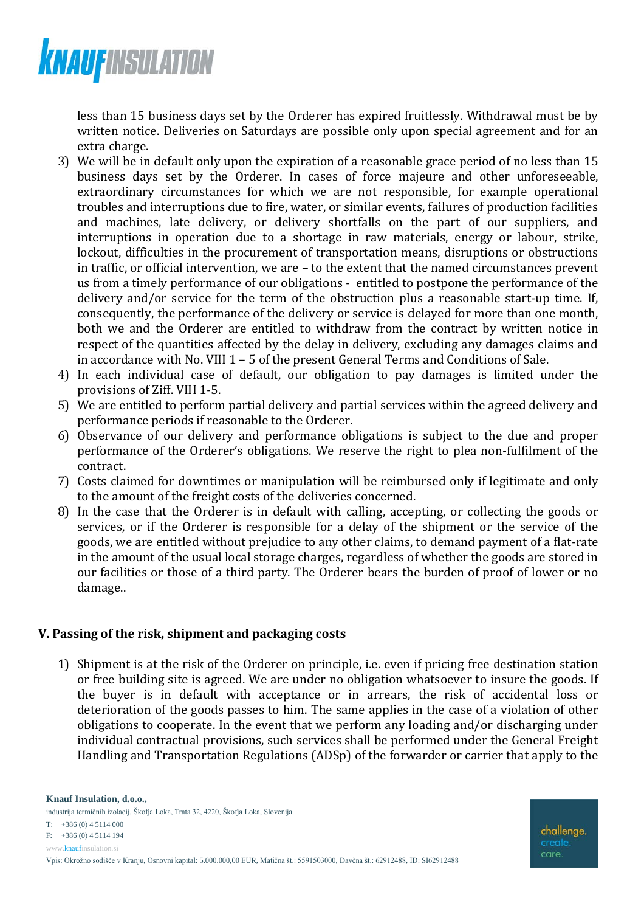

less than 15 business days set by the Orderer has expired fruitlessly. Withdrawal must be by written notice. Deliveries on Saturdays are possible only upon special agreement and for an extra charge.

- 3) We will be in default only upon the expiration of a reasonable grace period of no less than 15 business days set by the Orderer. In cases of force majeure and other unforeseeable, extraordinary circumstances for which we are not responsible, for example operational troubles and interruptions due to fire, water, or similar events, failures of production facilities and machines, late delivery, or delivery shortfalls on the part of our suppliers, and interruptions in operation due to a shortage in raw materials, energy or labour, strike, lockout, difficulties in the procurement of transportation means, disruptions or obstructions in traffic, or official intervention, we are – to the extent that the named circumstances prevent us from a timely performance of our obligations - entitled to postpone the performance of the delivery and/or service for the term of the obstruction plus a reasonable start-up time. If, consequently, the performance of the delivery or service is delayed for more than one month, both we and the Orderer are entitled to withdraw from the contract by written notice in respect of the quantities affected by the delay in delivery, excluding any damages claims and in accordance with No. VIII 1 – 5 of the present General Terms and Conditions of Sale.
- 4) In each individual case of default, our obligation to pay damages is limited under the provisions of Ziff. VIII 1-5.
- 5) We are entitled to perform partial delivery and partial services within the agreed delivery and performance periods if reasonable to the Orderer.
- 6) Observance of our delivery and performance obligations is subject to the due and proper performance of the Orderer's obligations. We reserve the right to plea non-fulfilment of the contract.
- 7) Costs claimed for downtimes or manipulation will be reimbursed only if legitimate and only to the amount of the freight costs of the deliveries concerned.
- 8) In the case that the Orderer is in default with calling, accepting, or collecting the goods or services, or if the Orderer is responsible for a delay of the shipment or the service of the goods, we are entitled without prejudice to any other claims, to demand payment of a flat-rate in the amount of the usual local storage charges, regardless of whether the goods are stored in our facilities or those of a third party. The Orderer bears the burden of proof of lower or no damage..

## **V. Passing of the risk, shipment and packaging costs**

1) Shipment is at the risk of the Orderer on principle, i.e. even if pricing free destination station or free building site is agreed. We are under no obligation whatsoever to insure the goods. If the buyer is in default with acceptance or in arrears, the risk of accidental loss or deterioration of the goods passes to him. The same applies in the case of a violation of other obligations to cooperate. In the event that we perform any loading and/or discharging under individual contractual provisions, such services shall be performed under the General Freight Handling and Transportation Regulations (ADSp) of the forwarder or carrier that apply to the

www.knaufinsulation.si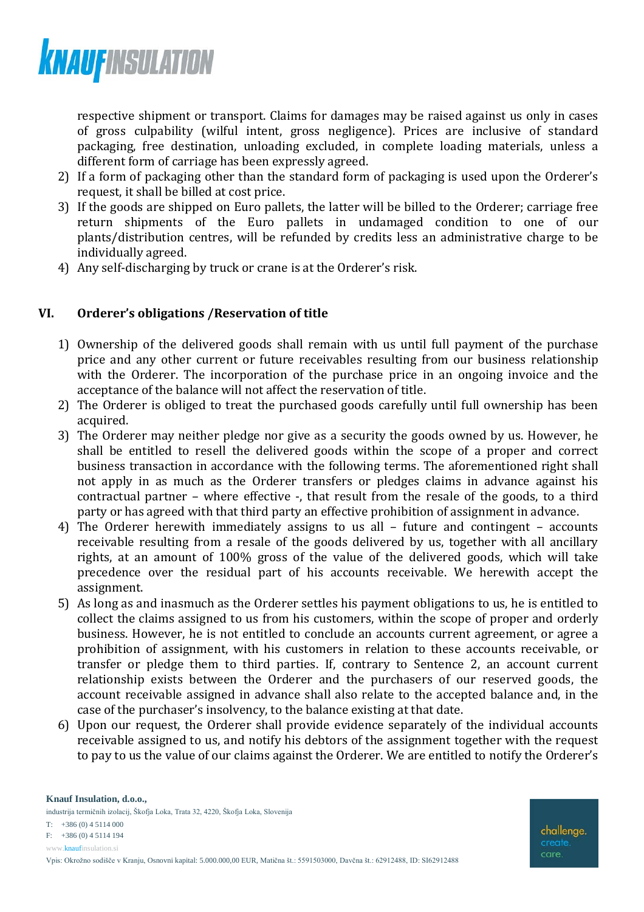

respective shipment or transport. Claims for damages may be raised against us only in cases of gross culpability (wilful intent, gross negligence). Prices are inclusive of standard packaging, free destination, unloading excluded, in complete loading materials, unless a different form of carriage has been expressly agreed.

- 2) If a form of packaging other than the standard form of packaging is used upon the Orderer's request, it shall be billed at cost price.
- 3) If the goods are shipped on Euro pallets, the latter will be billed to the Orderer; carriage free return shipments of the Euro pallets in undamaged condition to one of our plants/distribution centres, will be refunded by credits less an administrative charge to be individually agreed.
- 4) Any self-discharging by truck or crane is at the Orderer's risk.

## **VI. Orderer's obligations /Reservation of title**

- 1) Ownership of the delivered goods shall remain with us until full payment of the purchase price and any other current or future receivables resulting from our business relationship with the Orderer. The incorporation of the purchase price in an ongoing invoice and the acceptance of the balance will not affect the reservation of title.
- 2) The Orderer is obliged to treat the purchased goods carefully until full ownership has been acquired.
- 3) The Orderer may neither pledge nor give as a security the goods owned by us. However, he shall be entitled to resell the delivered goods within the scope of a proper and correct business transaction in accordance with the following terms. The aforementioned right shall not apply in as much as the Orderer transfers or pledges claims in advance against his contractual partner – where effective -, that result from the resale of the goods, to a third party or has agreed with that third party an effective prohibition of assignment in advance.
- 4) The Orderer herewith immediately assigns to us all future and contingent accounts receivable resulting from a resale of the goods delivered by us, together with all ancillary rights, at an amount of 100% gross of the value of the delivered goods, which will take precedence over the residual part of his accounts receivable. We herewith accept the assignment.
- 5) As long as and inasmuch as the Orderer settles his payment obligations to us, he is entitled to collect the claims assigned to us from his customers, within the scope of proper and orderly business. However, he is not entitled to conclude an accounts current agreement, or agree a prohibition of assignment, with his customers in relation to these accounts receivable, or transfer or pledge them to third parties. If, contrary to Sentence 2, an account current relationship exists between the Orderer and the purchasers of our reserved goods, the account receivable assigned in advance shall also relate to the accepted balance and, in the case of the purchaser's insolvency, to the balance existing at that date.
- 6) Upon our request, the Orderer shall provide evidence separately of the individual accounts receivable assigned to us, and notify his debtors of the assignment together with the request to pay to us the value of our claims against the Orderer. We are entitled to notify the Orderer's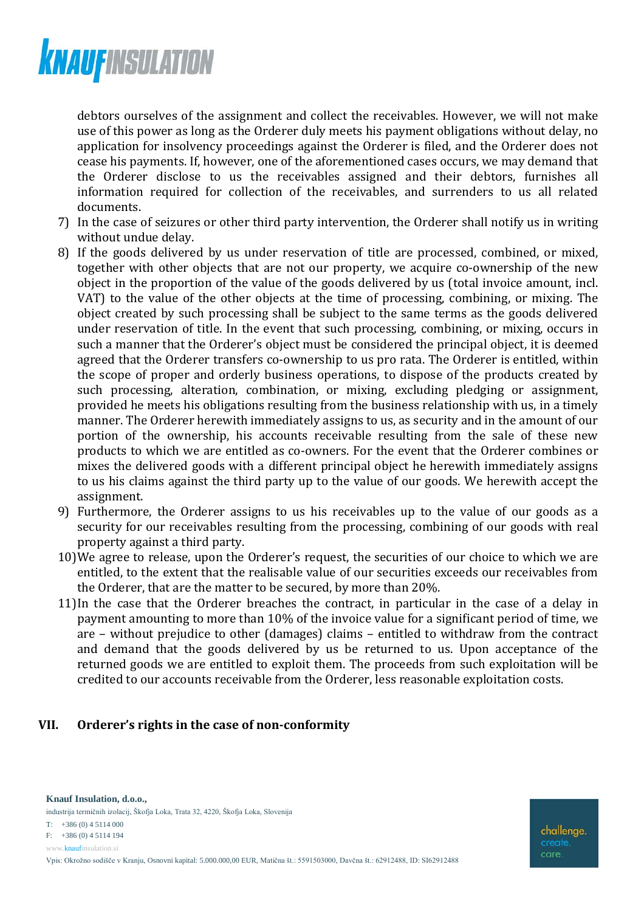

debtors ourselves of the assignment and collect the receivables. However, we will not make use of this power as long as the Orderer duly meets his payment obligations without delay, no application for insolvency proceedings against the Orderer is filed, and the Orderer does not cease his payments. If, however, one of the aforementioned cases occurs, we may demand that the Orderer disclose to us the receivables assigned and their debtors, furnishes all information required for collection of the receivables, and surrenders to us all related documents.

- 7) In the case of seizures or other third party intervention, the Orderer shall notify us in writing without undue delay.
- 8) If the goods delivered by us under reservation of title are processed, combined, or mixed, together with other objects that are not our property, we acquire co-ownership of the new object in the proportion of the value of the goods delivered by us (total invoice amount, incl. VAT) to the value of the other objects at the time of processing, combining, or mixing. The object created by such processing shall be subject to the same terms as the goods delivered under reservation of title. In the event that such processing, combining, or mixing, occurs in such a manner that the Orderer's object must be considered the principal object, it is deemed agreed that the Orderer transfers co-ownership to us pro rata. The Orderer is entitled, within the scope of proper and orderly business operations, to dispose of the products created by such processing, alteration, combination, or mixing, excluding pledging or assignment, provided he meets his obligations resulting from the business relationship with us, in a timely manner. The Orderer herewith immediately assigns to us, as security and in the amount of our portion of the ownership, his accounts receivable resulting from the sale of these new products to which we are entitled as co-owners. For the event that the Orderer combines or mixes the delivered goods with a different principal object he herewith immediately assigns to us his claims against the third party up to the value of our goods. We herewith accept the assignment.
- 9) Furthermore, the Orderer assigns to us his receivables up to the value of our goods as a security for our receivables resulting from the processing, combining of our goods with real property against a third party.
- 10)We agree to release, upon the Orderer's request, the securities of our choice to which we are entitled, to the extent that the realisable value of our securities exceeds our receivables from the Orderer, that are the matter to be secured, by more than 20%.
- 11)In the case that the Orderer breaches the contract, in particular in the case of a delay in payment amounting to more than 10% of the invoice value for a significant period of time, we are – without prejudice to other (damages) claims – entitled to withdraw from the contract and demand that the goods delivered by us be returned to us. Upon acceptance of the returned goods we are entitled to exploit them. The proceeds from such exploitation will be credited to our accounts receivable from the Orderer, less reasonable exploitation costs.

#### **VII. Orderer's rights in the case of non-conformity**

**Knauf Insulation, d.o.o.,** industrija termičnih izolacij, Škofja Loka, Trata 32, 4220, Škofja Loka, Slovenija T: +386 (0) 4 5114 000 F: +386 (0) 4 5114 194

www.knaufinsulation.si

challenge. care.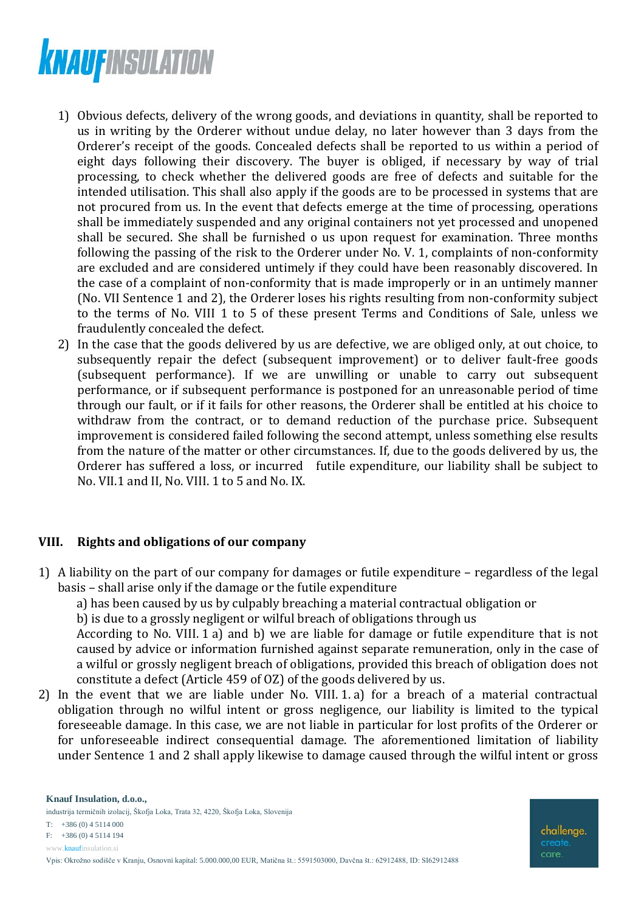

- 1) Obvious defects, delivery of the wrong goods, and deviations in quantity, shall be reported to us in writing by the Orderer without undue delay, no later however than 3 days from the Orderer's receipt of the goods. Concealed defects shall be reported to us within a period of eight days following their discovery. The buyer is obliged, if necessary by way of trial processing, to check whether the delivered goods are free of defects and suitable for the intended utilisation. This shall also apply if the goods are to be processed in systems that are not procured from us. In the event that defects emerge at the time of processing, operations shall be immediately suspended and any original containers not yet processed and unopened shall be secured. She shall be furnished o us upon request for examination. Three months following the passing of the risk to the Orderer under No. V. 1, complaints of non-conformity are excluded and are considered untimely if they could have been reasonably discovered. In the case of a complaint of non-conformity that is made improperly or in an untimely manner (No. VII Sentence 1 and 2), the Orderer loses his rights resulting from non-conformity subject to the terms of No. VIII 1 to 5 of these present Terms and Conditions of Sale, unless we fraudulently concealed the defect.
- 2) In the case that the goods delivered by us are defective, we are obliged only, at out choice, to subsequently repair the defect (subsequent improvement) or to deliver fault-free goods (subsequent performance). If we are unwilling or unable to carry out subsequent performance, or if subsequent performance is postponed for an unreasonable period of time through our fault, or if it fails for other reasons, the Orderer shall be entitled at his choice to withdraw from the contract, or to demand reduction of the purchase price. Subsequent improvement is considered failed following the second attempt, unless something else results from the nature of the matter or other circumstances. If, due to the goods delivered by us, the Orderer has suffered a loss, or incurred futile expenditure, our liability shall be subject to No. VII.1 and II, No. VIII. 1 to 5 and No. IX.

#### **VIII. Rights and obligations of our company**

- 1) A liability on the part of our company for damages or futile expenditure regardless of the legal basis – shall arise only if the damage or the futile expenditure
	- a) has been caused by us by culpably breaching a material contractual obligation or

b) is due to a grossly negligent or wilful breach of obligations through us

According to No. VIII. 1 a) and b) we are liable for damage or futile expenditure that is not caused by advice or information furnished against separate remuneration, only in the case of a wilful or grossly negligent breach of obligations, provided this breach of obligation does not constitute a defect (Article 459 of OZ) of the goods delivered by us.

2) In the event that we are liable under No. VIII. 1. a) for a breach of a material contractual obligation through no wilful intent or gross negligence, our liability is limited to the typical foreseeable damage. In this case, we are not liable in particular for lost profits of the Orderer or for unforeseeable indirect consequential damage. The aforementioned limitation of liability under Sentence 1 and 2 shall apply likewise to damage caused through the wilful intent or gross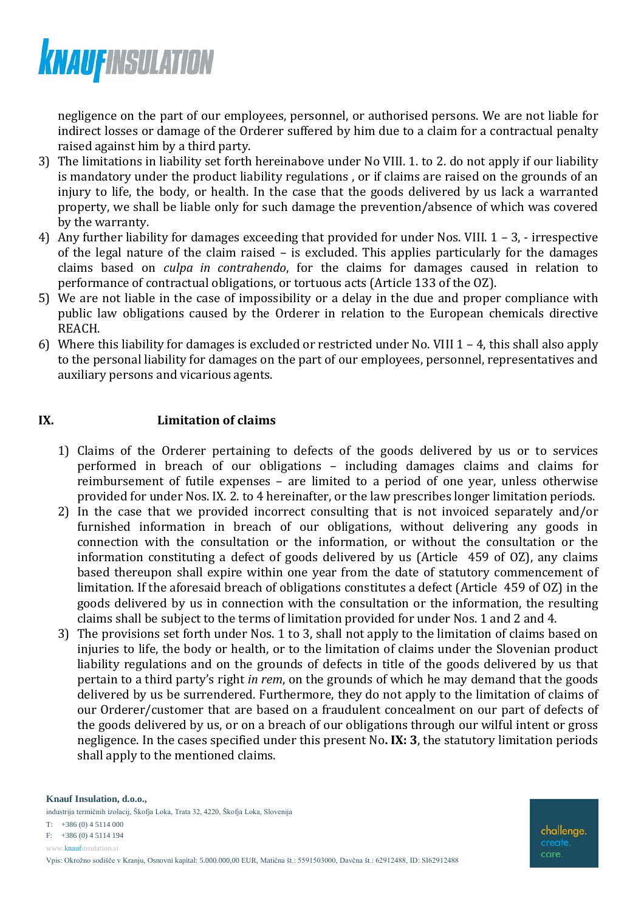

negligence on the part of our employees, personnel, or authorised persons. We are not liable for indirect losses or damage of the Orderer suffered by him due to a claim for a contractual penalty raised against him by a third party.

- 3) The limitations in liability set forth hereinabove under No VIII. 1. to 2. do not apply if our liability is mandatory under the product liability regulations , or if claims are raised on the grounds of an injury to life, the body, or health. In the case that the goods delivered by us lack a warranted property, we shall be liable only for such damage the prevention/absence of which was covered by the warranty.
- 4) Any further liability for damages exceeding that provided for under Nos. VIII. 1 3, irrespective of the legal nature of the claim raised – is excluded. This applies particularly for the damages claims based on *culpa in contrahendo*, for the claims for damages caused in relation to performance of contractual obligations, or tortuous acts (Article 133 of the OZ).
- 5) We are not liable in the case of impossibility or a delay in the due and proper compliance with public law obligations caused by the Orderer in relation to the European chemicals directive REACH.
- 6) Where this liability for damages is excluded or restricted under No. VIII 1 4, this shall also apply to the personal liability for damages on the part of our employees, personnel, representatives and auxiliary persons and vicarious agents.

## **IX. Limitation of claims**

- 1) Claims of the Orderer pertaining to defects of the goods delivered by us or to services performed in breach of our obligations – including damages claims and claims for reimbursement of futile expenses – are limited to a period of one year, unless otherwise provided for under Nos. IX. 2. to 4 hereinafter, or the law prescribes longer limitation periods.
- 2) In the case that we provided incorrect consulting that is not invoiced separately and/or furnished information in breach of our obligations, without delivering any goods in connection with the consultation or the information, or without the consultation or the information constituting a defect of goods delivered by us (Article 459 of OZ), any claims based thereupon shall expire within one year from the date of statutory commencement of limitation. If the aforesaid breach of obligations constitutes a defect (Article 459 of OZ) in the goods delivered by us in connection with the consultation or the information, the resulting claims shall be subject to the terms of limitation provided for under Nos. 1 and 2 and 4.
- 3) The provisions set forth under Nos. 1 to 3, shall not apply to the limitation of claims based on injuries to life, the body or health, or to the limitation of claims under the Slovenian product liability regulations and on the grounds of defects in title of the goods delivered by us that pertain to a third party's right *in rem*, on the grounds of which he may demand that the goods delivered by us be surrendered. Furthermore, they do not apply to the limitation of claims of our Orderer/customer that are based on a fraudulent concealment on our part of defects of the goods delivered by us, or on a breach of our obligations through our wilful intent or gross negligence. In the cases specified under this present No**. IX: 3**, the statutory limitation periods shall apply to the mentioned claims.

**Knauf Insulation, d.o.o.,** industrija termičnih izolacij, Škofja Loka, Trata 32, 4220, Škofja Loka, Slovenija T: +386 (0) 4 5114 000 F: +386 (0) 4 5114 194

www.knaufinsulation.si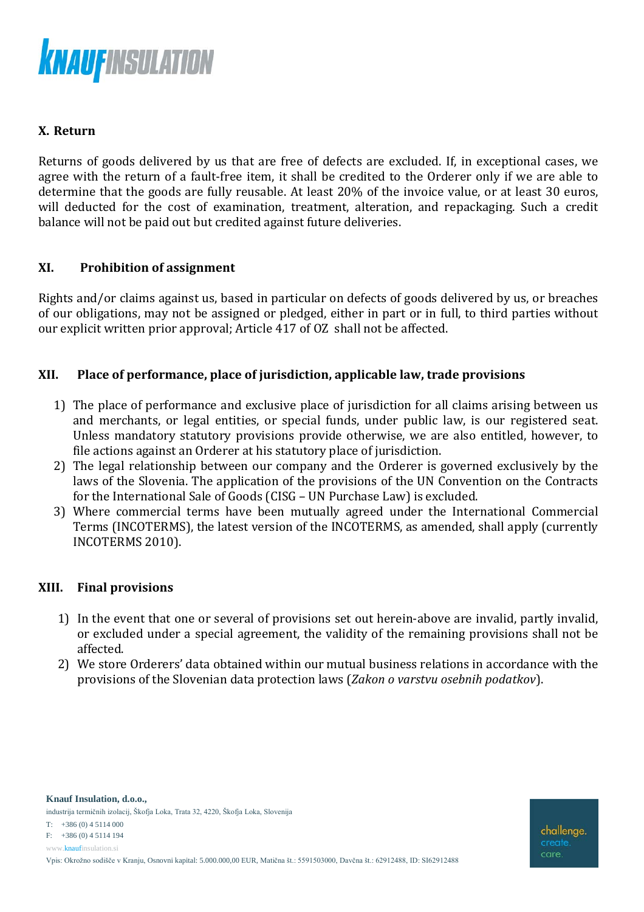

# **X. Return**

Returns of goods delivered by us that are free of defects are excluded. If, in exceptional cases, we agree with the return of a fault-free item, it shall be credited to the Orderer only if we are able to determine that the goods are fully reusable. At least 20% of the invoice value, or at least 30 euros, will deducted for the cost of examination, treatment, alteration, and repackaging. Such a credit balance will not be paid out but credited against future deliveries.

## **XI. Prohibition of assignment**

Rights and/or claims against us, based in particular on defects of goods delivered by us, or breaches of our obligations, may not be assigned or pledged, either in part or in full, to third parties without our explicit written prior approval; Article 417 of OZ shall not be affected.

## **XII. Place of performance, place of jurisdiction, applicable law, trade provisions**

- 1) The place of performance and exclusive place of jurisdiction for all claims arising between us and merchants, or legal entities, or special funds, under public law, is our registered seat. Unless mandatory statutory provisions provide otherwise, we are also entitled, however, to file actions against an Orderer at his statutory place of jurisdiction.
- 2) The legal relationship between our company and the Orderer is governed exclusively by the laws of the Slovenia. The application of the provisions of the UN Convention on the Contracts for the International Sale of Goods (CISG – UN Purchase Law) is excluded.
- 3) Where commercial terms have been mutually agreed under the International Commercial Terms (INCOTERMS), the latest version of the INCOTERMS, as amended, shall apply (currently INCOTERMS 2010).

## **XIII. Final provisions**

- 1) In the event that one or several of provisions set out herein-above are invalid, partly invalid, or excluded under a special agreement, the validity of the remaining provisions shall not be affected.
- 2) We store Orderers' data obtained within our mutual business relations in accordance with the provisions of the Slovenian data protection laws (*Zakon o varstvu osebnih podatkov*).